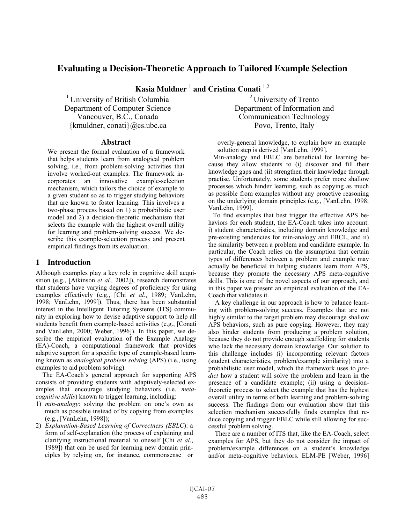# **Evaluating a Decision-Theoretic Approach to Tailored Example Selection**

**Kasia Muldner** <sup>1</sup>  **and Cristina Conati** 1,2

 $<sup>1</sup>$  University of British Columbia</sup> Department of Computer Science Vancouver, B.C., Canada {kmuldner, conati}@cs.ubc.ca

### **Abstract**

We present the formal evaluation of a framework that helps students learn from analogical problem solving, i.e., from problem-solving activities that involve worked-out examples. The framework incorporates an innovative example-selection mechanism, which tailors the choice of example to a given student so as to trigger studying behaviors that are known to foster learning. This involves a two-phase process based on 1) a probabilistic user model and 2) a decision-theoretic mechanism that selects the example with the highest overall utility for learning and problem-solving success. We describe this example-selection process and present empirical findings from its evaluation.

# **1 Introduction**

Although examples play a key role in cognitive skill acquisition (e.g., [Atkinson *et al.,* 2002]), research demonstrates that students have varying degrees of proficiency for using examples effectively (e.g., [Chi *et al*., 1989; VanLehn, 1998; VanLehn, 1999]). Thus, there has been substantial interest in the Intelligent Tutoring Systems (ITS) community in exploring how to devise adaptive support to help all students benefit from example-based activities (e.g., [Conati and VanLehn, 2000; Weber, 1996]). In this paper, we describe the empirical evaluation of the Example Analogy (EA)-Coach, a computational framework that provides adaptive support for a specific type of example-based learning known as *analogical problem solving* (APS) (i.e., using examples to aid problem solving).

The EA-Coach's general approach for supporting APS consists of providing students with adaptively-selected examples that encourage studying behaviors (i.e. *metacognitive skills*) known to trigger learning, including:

- 1) *min-analogy*: solving the problem on one's own as much as possible instead of by copying from examples (e.g., [VanLehn, 1998]);
- 2) *Explanation-Based Learning of Correctness (EBLC*): a form of self-explanation (the process of explaining and clarifying instructional material to oneself [Chi *et al*., 1989]) that can be used for learning new domain principles by relying on, for instance, commonsense or

 $2$  University of Trento Department of Information and Communication Technology Povo, Trento, Italy

overly-general knowledge, to explain how an example solution step is derived [VanLehn, 1999].

Min-analogy and EBLC are beneficial for learning because they allow students to (i) discover and fill their knowledge gaps and (ii) strengthen their knowledge through practise. Unfortunately, some students prefer more shallow processes which hinder learning, such as copying as much as possible from examples without any proactive reasoning on the underlying domain principles (e.g., [VanLehn, 1998; VanLehn, 1999].

To find examples that best trigger the effective APS behaviors for each student, the EA-Coach takes into account: i) student characteristics, including domain knowledge and pre-existing tendencies for min-analogy and EBCL, and ii) the similarity between a problem and candidate example. In particular, the Coach relies on the assumption that certain types of differences between a problem and example may actually be beneficial in helping students learn from APS, because they promote the necessary APS meta-cognitive skills. This is one of the novel aspects of our approach, and in this paper we present an empirical evaluation of the EA-Coach that validates it.

A key challenge in our approach is how to balance learning with problem-solving success. Examples that are not highly similar to the target problem may discourage shallow APS behaviors, such as pure copying. However, they may also hinder students from producing a problem solution, because they do not provide enough scaffolding for students who lack the necessary domain knowledge. Our solution to this challenge includes (i) incorporating relevant factors (student characteristics, problem/example similarity) into a probabilistic user model, which the framework uses to *predict* how a student will solve the problem and learn in the presence of a candidate example; (ii) using a decisiontheoretic process to select the example that has the highest overall utility in terms of both learning and problem-solving success. The findings from our evaluation show that this selection mechanism successfully finds examples that reduce copying and trigger EBLC while still allowing for successful problem solving.

There are a number of ITS that, like the EA-Coach, select examples for APS, but they do not consider the impact of problem/example differences on a student's knowledge and/or meta-cognitive behaviors. ELM-PE [Weber, 1996]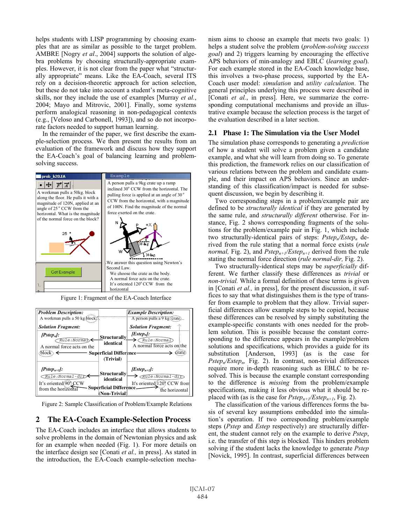helps students with LISP programming by choosing examples that are as similar as possible to the target problem. AMBRE [Nogry *et al*., 2004] supports the solution of algebra problems by choosing structurally-appropriate examples. However, it is not clear from the paper what "structurally appropriate" means. Like the EA-Coach, several ITS rely on a decision-theoretic approach for action selection, but these do not take into account a student's meta-cognitive skills, nor they include the use of examples [Murray *et al.*, 2004; Mayo and Mitrovic, 2001]. Finally, some systems perform analogical reasoning in non-pedagogical contexts (e.g., [Veloso and Carbonell, 1993]), and so do not incorporate factors needed to support human learning.

In the remainder of the paper, we first describe the example-selection process. We then present the results from an evaluation of the framework and discuss how they support the EA-Coach's goal of balancing learning and problemsolving success.



Figure 1: Fragment of the EA-Coach Interface



Figure 2: Sample Classification of Problem/Example Relations

## **2 The EA-Coach Example-Selection Process**

The EA-Coach includes an interface that allows students to solve problems in the domain of Newtonian physics and ask for an example when needed (Fig. 1). For more details on the interface design see [Conati *et al.,* in press]. As stated in the introduction, the EA-Coach example-selection mechanism aims to choose an example that meets two goals: 1) helps a student solve the problem (*problem-solving success goal*) and 2) triggers learning by encouraging the effective APS behaviors of min-analogy and EBLC (*learning goal*). For each example stored in the EA-Coach knowledge base, this involves a two-phase process, supported by the EA-Coach user model: *simulation* and *utility calculation*. The general principles underlying this process were described in [Conati *et al.*, in press]. Here, we summarize the corresponding computational mechanisms and provide an illustrative example because the selection process is the target of the evaluation described in a later section.

#### **2.1 Phase 1: The Simulation via the User Model**

The simulation phase corresponds to generating a *prediction* of how a student will solve a problem given a candidate example, and what she will learn from doing so. To generate this prediction, the framework relies on our classification of various relations between the problem and candidate example, and their impact on APS behaviors. Since an understanding of this classification/impact is needed for subsequent discussion, we begin by describing it.

Two corresponding steps in a problem/example pair are defined to be *structurally identical* if they are generated by the same rule, and *structurally different* otherwise. For instance, Fig. 2 shows corresponding fragments of the solutions for the problem/example pair in Fig. 1, which include two structurally-identical pairs of steps: *Pstep<sub>n</sub>*/*Estep<sub>n</sub>* derived from the rule stating that a normal force exists (*rule normal,* Fig. 2), and  $Pstep_{n+1}/Estep_{n+1}$  derived from the rule stating the normal force direction (*rule normal-dir,* Fig. 2).

Two structurally-identical steps may be *superficially* different. We further classify these differences as *trivial* or *non-trivial.* While a formal definition of these terms is given in [Conati *et al.,* in press], for the present discussion, it suffices to say that what distinguishes them is the type of transfer from example to problem that they allow. Trivial superficial differences allow example steps to be copied, because these differences can be resolved by simply substituting the example-specific constants with ones needed for the problem solution. This is possible because the constant corresponding to the difference appears in the example/problem solutions and specifications, which provides a guide for its substitution [Anderson, 1993] (as is the case for *Pstep<sub>n</sub>*/*Estep<sub>n</sub>*, Fig. 2). In contrast, non-trivial differences require more in-depth reasoning such as EBLC to be resolved. This is because the example constant corresponding to the difference is *missing* from the problem/example specifications, making it less obvious what it should be replaced with (as is the case for  $Pstep_{n+1}/Estep_{n+1}$ , Fig. 2).

The classification of the various differences forms the basis of several key assumptions embedded into the simulation's operation. If two corresponding problem/example steps (*Pstep* and *Estep* respectively) are structurally different, the student cannot rely on the example to derive *Pstep*, i.e. the transfer of this step is blocked. This hinders problem solving if the student lacks the knowledge to generate *Pstep* [Novick, 1995]. In contrast, superficial differences between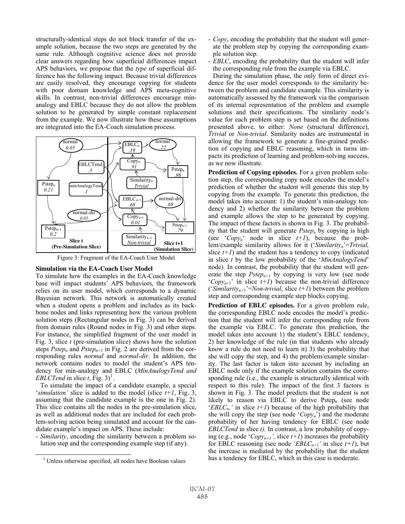structurally-identical steps do not block transfer of the example solution, because the two steps are generated by the same rule. Although cognitive science does not provide clear answers regarding how superficial differences impact APS behaviors, we propose that the *type* of superficial difference has the following impact. Because trivial differences are easily resolved, they encourage copying for students with poor domain knowledge and APS meta-cognitive skills. In contrast, non-trivial differences encourage minanalogy and EBLC because they do not allow the problem solution to be generated by simple constant replacement from the example. We now illustrate how these assumptions are integrated into the EA-Coach simulation process.



Figure 3: Fragment of the EA-Coach User Model

#### **Simulation via the EA-Coach User Model**

To simulate how the examples in the EA-Coach knowledge base will impact students' APS behaviors, the framework relies on its user model, which corresponds to a dynamic Bayesian network. This network is automatically created when a student opens a problem and includes as its backbone nodes and links representing how the various problem solution steps (Rectangular nodes in Fig. 3) can be derived from domain rules (Round nodes in Fig. 3) and other steps. For instance, the simplified fragment of the user model in Fig. 3, slice *t* (pre-simulation slice) shows how the solution steps  $Pstep_n$  and  $Pstep_{n+1}$  in Fig. 2 are derived from the corresponding rules *normal* and *normal-dir*. In addition, the network contains nodes to model the student's APS tendency for min-analogy and EBLC (*MinAnalogyTend and EBLCTend* in slice  $t$ , Fig. 3)<sup>1</sup>.

To simulate the impact of a candidate example, a special '*simulation'* slice is added to the model (slice *t+1*, Fig. 3, assuming that the candidate example is the one in Fig. 2). This slice contains all the nodes in the pre-simulation slice, as well as additional nodes that are included for each problem-solving action being simulated and account for the candidate example's impact on APS. These include:

- *Similarity*, encoding the similarity between a problem solution step and the corresponding example step (if any).

- *Copy*, encoding the probability that the student will generate the problem step by copying the corresponding example solution step.
- *EBLC*, encoding the probability that the student will infer the corresponding rule from the example via EBLC.

During the simulation phase, the only form of direct evidence for the user model corresponds to the similarity between the problem and candidate example. This similarity is automatically assessed by the framework via the comparison of its internal representation of the problem and example solutions and their specifications. The similarity node's value for each problem step is set based on the definitions presented above, to either: *None* (structural difference), *Trivial* or *Non-trivial*. Similarity nodes are instrumental in allowing the framework to generate a fine-grained prediction of copying and EBLC reasoning, which in turns impacts its prediction of learning and problem-solving success, as we now illustrate.

**Prediction of Copying episodes.** For a given problem solution step, the corresponding copy node encodes the model's prediction of whether the student will generate this step by copying from the example. To generate this prediction, the model takes into account: 1) the student's min-analogy tendency and 2) whether the similarity between the problem and example allows the step to be generated by copying. The impact of these factors is shown in Fig. 3. The probability that the student will generate *Pstep<sub>n</sub>* by copying is high (see ' $Copy<sub>n</sub>$ ' node in slice  $t+1$ ), because the problem/example similarity allows for it ('*Similarityn*'=*Trivial,* slice  $t+1$ ) and the student has a tendency to copy (indicated in slice *t* by the low probability of the '*MinAnalogyTend*' node). In contrast, the probability that the student will generate the step  $Pstep_{n+1}$  by copying is very low (see node ' $Copy_{n+1}$ ' in slice  $t+1$ ) because the non-trivial difference ('*Similarity<sub>n+1</sub>*'=*Non-trivial*, slice  $t+1$ ) between the problem step and corresponding example step blocks copying.

**Prediction of EBLC episodes.** For a given problem rule, the corresponding EBLC node encodes the model's prediction that the student will infer the corresponding rule from the example via EBLC. To generate this prediction, the model takes into account 1) the student's EBLC tendency, 2) her knowledge of the rule (in that students who already know a rule do not need to learn it) 3) the probability that she will copy the step, and 4) the problem/example similarity. The last factor is taken into account by including an EBLC node only if the example solution contains the corresponding rule (i.e., the example is structurally identical with respect to this rule). The impact of the first 3 factors is shown in Fig. 3. The model predicts that the student is not likely to reason via EBLC to derive Pstep<sub>n</sub> (see node *'EBLC<sub>n</sub>*' in slice  $t+1$ ) because of the high probability that she will copy the step (see node '*Copyn*') and the moderate probability of her having tendency for EBLC (see node *EBLCTend* in slice *t).* In contrast, a low probability of copying (e.g., node ' $Copy_{n+1}$ ', slice  $t+1$ ) increases the probability for EBLC reasoning (see node *'EBLC<sub>n+1</sub>'* in slice  $t+1$ ), but the increase is mediated by the probability that the student has a tendency for EBLC, which in this case is moderate.

<sup>&</sup>lt;sup>1</sup> Unless otherwise specified, all nodes have Boolean values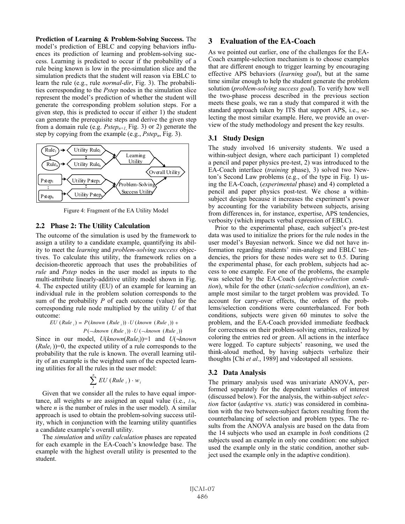**Prediction of Learning & Problem-Solving Success.** The model's prediction of EBLC and copying behaviors influences its prediction of learning and problem-solving success. Learning is predicted to occur if the probability of a rule being known is low in the pre-simulation slice and the simulation predicts that the student will reason via EBLC to learn the rule (e.g., rule *normal-dir*, Fig. 3). The probabilities corresponding to the *Pstep* nodes in the simulation slice represent the model's prediction of whether the student will generate the corresponding problem solution steps. For a given step, this is predicted to occur if either 1) the student can generate the prerequisite steps and derive the given step from a domain rule (e.g.  $Pstep_{n+1}$ , Fig. 3) or 2) generate the step by copying from the example (e.g., *Pstep<sub>n</sub>*, Fig. 3).



Figure 4: Fragment of the EA Utility Model

### **2.2 Phase 2: The Utility Calculation**

The outcome of the simulation is used by the framework to assign a utility to a candidate example, quantifying its ability to meet the *learning* and *problem-solving success* objectives. To calculate this utility, the framework relies on a decision-theoretic approach that uses the probabilities of *rule* and *Pstep* nodes in the user model as inputs to the multi-attribute linearly-additive utility model shown in Fig. 4. The expected utility (EU) of an example for learning an individual rule in the problem solution corresponds to the sum of the probability *P* of each outcome (value) for the corresponding rule node multiplied by the utility *U* of that outcome:

$$
EU (Rulei) = P(known (Rulei)) \cdot U(known (Rulei)) + P(\neg known (Rulei)) \cdot U(\neg known (Rulei))
$$

Since in our model,  $U(known(Rule_i))=1$  and  $U(\neg known$  $(Rule<sub>i</sub>)$ )=0, the expected utility of a rule corresponds to the probability that the rule is known. The overall learning utility of an example is the weighted sum of the expected learning utilities for all the rules in the user model:

$$
\sum_{i}^{n} EU(Rule_{i}) \cdot w_{i}
$$

Given that we consider all the rules to have equal importance, all weights *w* are assigned an equal value (i.e., *1/n*, where  $n$  is the number of rules in the user model). A similar approach is used to obtain the problem-solving success utility, which in conjunction with the learning utility quantifies a candidate example's overall utility.

The *simulation* and *utility calculation* phases are repeated for each example in the EA-Coach's knowledge base. The example with the highest overall utility is presented to the student.

# **3 Evaluation of the EA-Coach**

As we pointed out earlier, one of the challenges for the EA-Coach example-selection mechanism is to choose examples that are different enough to trigger learning by encouraging effective APS behaviors (*learning goal*), but at the same time similar enough to help the student generate the problem solution (*problem-solving success goal*). To verify how well the two-phase process described in the previous section meets these goals, we ran a study that compared it with the standard approach taken by ITS that support APS, i.e., selecting the most similar example. Here, we provide an overview of the study methodology and present the key results.

#### **3.1 Study Design**

The study involved 16 university students. We used a within-subject design, where each participant 1) completed a pencil and paper physics pre-test, 2) was introduced to the EA-Coach interface (*training* phase), 3) solved two Newton's Second Law problems (e.g., of the type in Fig. 1) using the EA-Coach, (*experimental* phase) and 4) completed a pencil and paper physics post-test. We chose a withinsubject design because it increases the experiment's power by accounting for the variability between subjects, arising from differences in, for instance, expertise, APS tendencies, verbosity (which impacts verbal expression of EBLC).

Prior to the experimental phase, each subject's pre-test data was used to initialize the priors for the rule nodes in the user model's Bayesian network. Since we did not have information regarding students' min-analogy and EBLC tendencies, the priors for these nodes were set to 0.5. During the experimental phase, for each problem, subjects had access to one example. For one of the problems, the example was selected by the EA-Coach (*adaptive-selection condition*), while for the other (*static-selection condition*), an example most similar to the target problem was provided. To account for carry-over effects, the orders of the problems/selection conditions were counterbalanced. For both conditions, subjects were given 60 minutes to solve the problem, and the EA-Coach provided immediate feedback for correctness on their problem-solving entries, realized by coloring the entries red or green. All actions in the interface were logged. To capture subjects' reasoning, we used the think-aloud method, by having subjects verbalize their thoughts [Chi *et al*., 1989] and videotaped all sessions.

#### **3.2 Data Analysis**

The primary analysis used was univariate ANOVA, performed separately for the dependent variables of interest (discussed below). For the analysis, the within-subject *selection* factor (*adaptive* vs. *static*) was considered in combination with the two between-subject factors resulting from the counterbalancing of selection and problem types. The results from the ANOVA analysis are based on the data from the 14 subjects who used an example in *both* conditions (2 subjects used an example in only one condition: one subject used the example only in the static condition, another subject used the example only in the adaptive condition).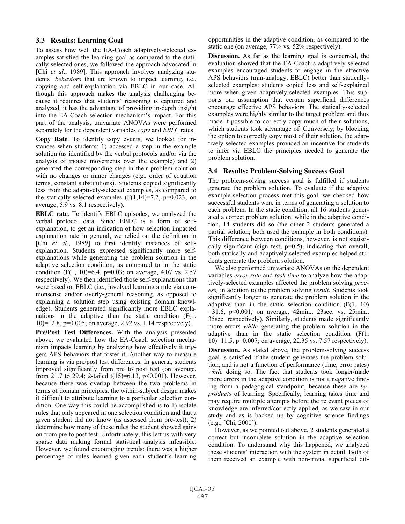## **3.3 Results: Learning Goal**

To assess how well the EA-Coach adaptively-selected examples satisfied the learning goal as compared to the statically-selected ones, we followed the approach advocated in [Chi *et al*., 1989]. This approach involves analyzing students' *behaviors* that are known to impact learning, i.e., copying and self-explanation via EBLC in our case. Although this approach makes the analysis challenging because it requires that students' reasoning is captured and analyzed, it has the advantage of providing in-depth insight into the EA-Coach selection mechanism's impact. For this part of the analysis, univariate ANOVAs were performed separately for the dependent variables *copy* and *EBLC* rates.

**Copy Rate**. To identify copy events, we looked for instances when students: 1) accessed a step in the example solution (as identified by the verbal protocols and/or via the analysis of mouse movements over the example) and 2) generated the corresponding step in their problem solution with no changes or minor changes (e.g., order of equation terms, constant substitutions). Students copied significantly less from the adaptively-selected examples, as compared to the statically-selected examples  $(F(1,14)=7.2, p=0.023;$  on average, 5.9 vs. 8.1 respectively).

**EBLC rate**. To identify EBLC episodes, we analyzed the verbal protocol data. Since EBLC is a form of selfexplanation, to get an indication of how selection impacted explanation rate in general, we relied on the definition in [Chi *et al*., 1989] to first identify instances of selfexplanation. Students expressed significantly more selfexplanations while generating the problem solution in the adaptive selection condition, as compared to in the static condition (F(1, 10)=6.4, p=0.03; on average, 4.07 vs. 2.57 respectively). We then identified those self-explanations that were based on EBLC (i.e., involved learning a rule via commonsense and/or overly-general reasoning, as opposed to explaining a solution step using existing domain knowledge). Students generated significantly more EBLC explanations in the adaptive than the static condition (F(1, 10)=12.8, p=0.005; on average, 2.92 vs. 1.14 respectively).

**Pre/Post Test Differences.** With the analysis presented above, we evaluated how the EA-Coach selection mechanism impacts learning by analyzing how effectively it triggers APS behaviors that foster it*.* Another way to measure learning is via pre/post test differences. In general, students improved significantly from pre to post test (on average, from 21.7 to 29.4; 2-tailed t(15)=6.13, p<0.001). However, because there was overlap between the two problems in terms of domain principles, the within-subject design makes it difficult to attribute learning to a particular selection condition. One way this could be accomplished is to 1) isolate rules that only appeared in one selection condition and that a given student did not know (as assessed from pre-test); 2) determine how many of these rules the student showed gains on from pre to post test. Unfortunately, this left us with very sparse data making formal statistical analysis infeasible. However, we found encouraging trends: there was a higher percentage of rules learned given each student's learning

opportunities in the adaptive condition, as compared to the static one (on average, 77% vs. 52% respectively).

**Discussion.** As far as the learning goal is concerned, the evaluation showed that the EA-Coach's adaptively-selected examples encouraged students to engage in the effective APS behaviors (min-analogy, EBLC) better than staticallyselected examples: students copied less and self-explained more when given adaptively-selected examples. This supports our assumption that certain superficial differences encourage effective APS behaviors. The statically-selected examples were highly similar to the target problem and thus made it possible to correctly copy much of their solutions, which students took advantage of. Conversely, by blocking the option to correctly copy most of their solution, the adaptively-selected examples provided an incentive for students to infer via EBLC the principles needed to generate the problem solution.

#### **3.4 Results: Problem-Solving Success Goal**

The problem-solving success goal is fulfilled if students generate the problem solution. To evaluate if the adaptive example-selection process met this goal, we checked how successful students were in terms of generating a solution to each problem. In the static condition, all 16 students generated a correct problem solution, while in the adaptive condition, 14 students did so (the other 2 students generated a partial solution; both used the example in both conditions). This difference between conditions, however, is not statistically significant (sign test,  $p=0.5$ ), indicating that overall, both statically and adaptively selected examples helped students generate the problem solution.

We also performed univariate ANOVAs on the dependent variables *error rate* and *task time* to analyze how the adaptively-selected examples affected the problem solving *process,* in addition to the problem solving *result*. Students took significantly longer to generate the problem solution in the adaptive than in the static selection condition  $(F(1, 10))$ =31.6, p<0.001; on average, 42min., 23sec. vs. 25min., 35sec. respectively). Similarly, students made significantly more errors *while* generating the problem solution in the adaptive than in the static selection condition (F(1, 10)=11.5, p=0.007; on average, 22.35 vs. 7.57 respectively).

**Discussion.** As stated above, the problem-solving success goal is satisfied if the student generates the problem solution, and is not a function of performance (time, error rates) *while* doing so. The fact that students took longer/made more errors in the adaptive condition is not a negative finding from a pedagogical standpoint, because these are *byproducts* of learning. Specifically, learning takes time and may require multiple attempts before the relevant pieces of knowledge are inferred/correctly applied, as we saw in our study and as is backed up by cognitive science findings (e.g., [Chi, 2000]).

However, as we pointed out above, 2 students generated a correct but incomplete solution in the adaptive selection condition. To understand why this happened, we analyzed these students' interaction with the system in detail. Both of them received an example with non-trivial superficial dif